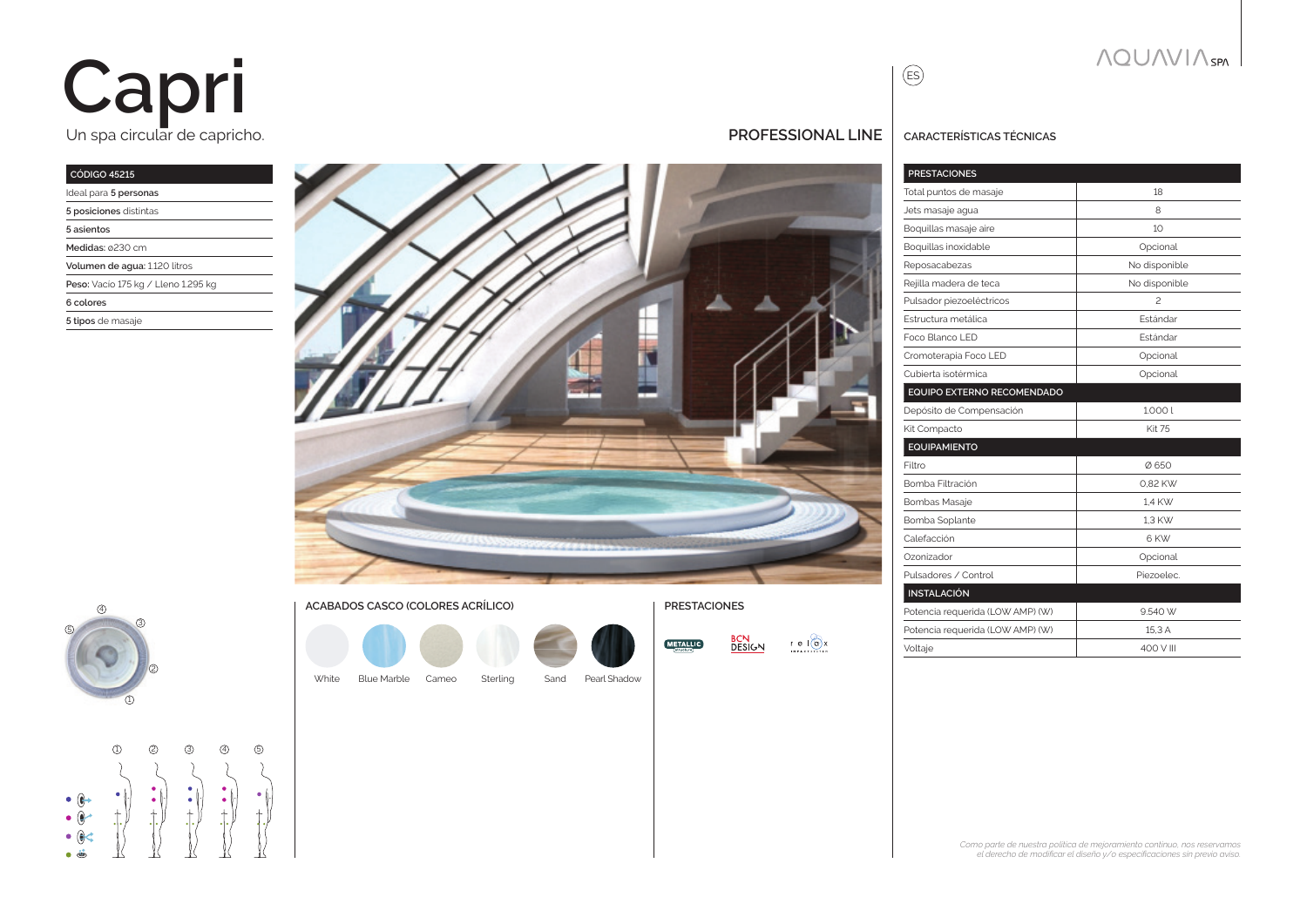# Un spa circular de capricho. **Capri**

### **CÓDIGO 45215**

| Ideal para 5 personas               |
|-------------------------------------|
| 5 posiciones distintas              |
| 5 asientos                          |
| Medidas: ø230 cm                    |
| Volumen de agua: 1.120 litros       |
| Peso: Vacío 175 kg / Lleno 1.295 kg |
| 6 colores                           |
| 5 tipos de masaje                   |
|                                     |





#### **ACABADOS CASCO (COLORES ACRÍLICO) PRESTACIONES**

Blue Marble

White Blue Marble Cameo Sterling Sand Pearl Shadow



### **PROFESSIONAL LINE CARACTERÍSTICAS TÉCNICAS**

| <b>PRESTACIONES</b>              |                 |
|----------------------------------|-----------------|
| Total puntos de masaje           | 18              |
| Jets masaje agua                 | 8               |
| Boquillas masaje aire            | 10              |
| Boquillas inoxidable             | Opcional        |
| Reposacabezas                    | No disponible   |
| Rejilla madera de teca           | No disponible   |
| Pulsador piezoeléctricos         | $\mathfrak{p}$  |
| Estructura metálica              | <b>Estándar</b> |
| Foco Blanco LED                  | <b>Fstándar</b> |
| Cromoterapia Foco LED            | Opcional        |
| Cubierta isotérmica              | Opcional        |
| EQUIPO EXTERNO RECOMENDADO       |                 |
| Depósito de Compensación         | 1.0001          |
| Kit Compacto                     | <b>Kit 75</b>   |
| <b>EQUIPAMIENTO</b>              |                 |
| Filtro                           | Ø650            |
| Bomba Filtración                 | 0.82 KW         |
| <b>Bombas Masaje</b>             | 1.4 KW          |
| Bomba Soplante                   | 1.3 KW          |
| Calefacción                      | 6 KW            |
| Ozonizador                       | Opcional        |
| Pulsadores / Control             | Piezoelec.      |
| <b>INSTALACIÓN</b>               |                 |
| Potencia requerida (LOW AMP) (W) | 9.540 W         |
| Potencia requerida (LOW AMP) (W) | 15.3 A          |
| Voltaje                          | 400 V III       |

ES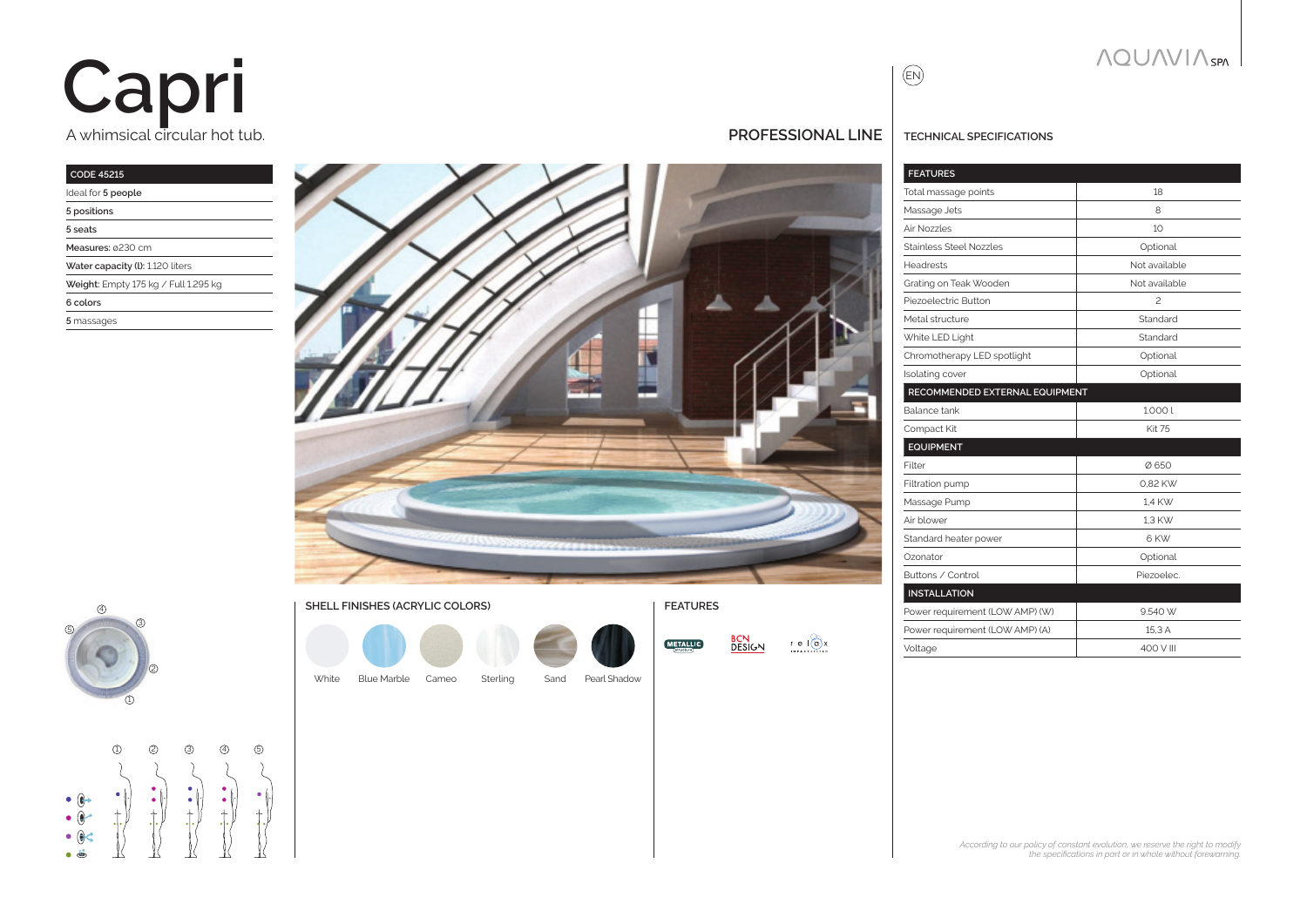# A whimsical circular hot tub. **Capri**

#### **CODE 45215**

| Ideal for 5 people                   |
|--------------------------------------|
| 5 positions                          |
| 5 seats                              |
| Measures: 0230 cm                    |
| Water capacity (I): 1.120 liters     |
| Weight: Empty 175 kg / Full 1.295 kg |
| 6 colors                             |
| 5 massages                           |
|                                      |







**BCN**<br>DESIGN  $r e 10x$ **METALLIC** 

**PROFESSIONAL LINE TECHNICAL SPECIFICATIONS**

EN

| <b>FEATURES</b>                 |               |
|---------------------------------|---------------|
| Total massage points            | 18            |
| Massage Jets                    | 8             |
| Air Nozzles                     | 10            |
| Stainless Steel Nozzles         | Optional      |
| <b>Headrests</b>                | Not available |
| Grating on Teak Wooden          | Not available |
| Piezoelectric Button            | $\mathcal{P}$ |
| Metal structure                 | Standard      |
| White LED Light                 | Standard      |
| Chromotherapy LED spotlight     | Optional      |
| Isolating cover                 | Optional      |
| RECOMMENDED EXTERNAL EQUIPMENT  |               |
| Balance tank                    | 1.0001        |
| Compact Kit                     | <b>Kit 75</b> |
| <b>EQUIPMENT</b>                |               |
| Filter                          | Ø650          |
| Filtration pump                 | 0.82 KW       |
| Massage Pump                    | 1,4 KW        |
| Air blower                      | 1.3 KW        |
| Standard heater power           | 6 KW          |
| Ozonator                        | Optional      |
| Buttons / Control               | Piezoelec.    |
| <b>INSTALLATION</b>             |               |
| Power requirement (LOW AMP) (W) | 9.540 W       |
| Power requirement (LOW AMP) (A) | 15.3 A        |
| Voltage                         | 400 V III     |
|                                 |               |

**NQUAVIA** SPN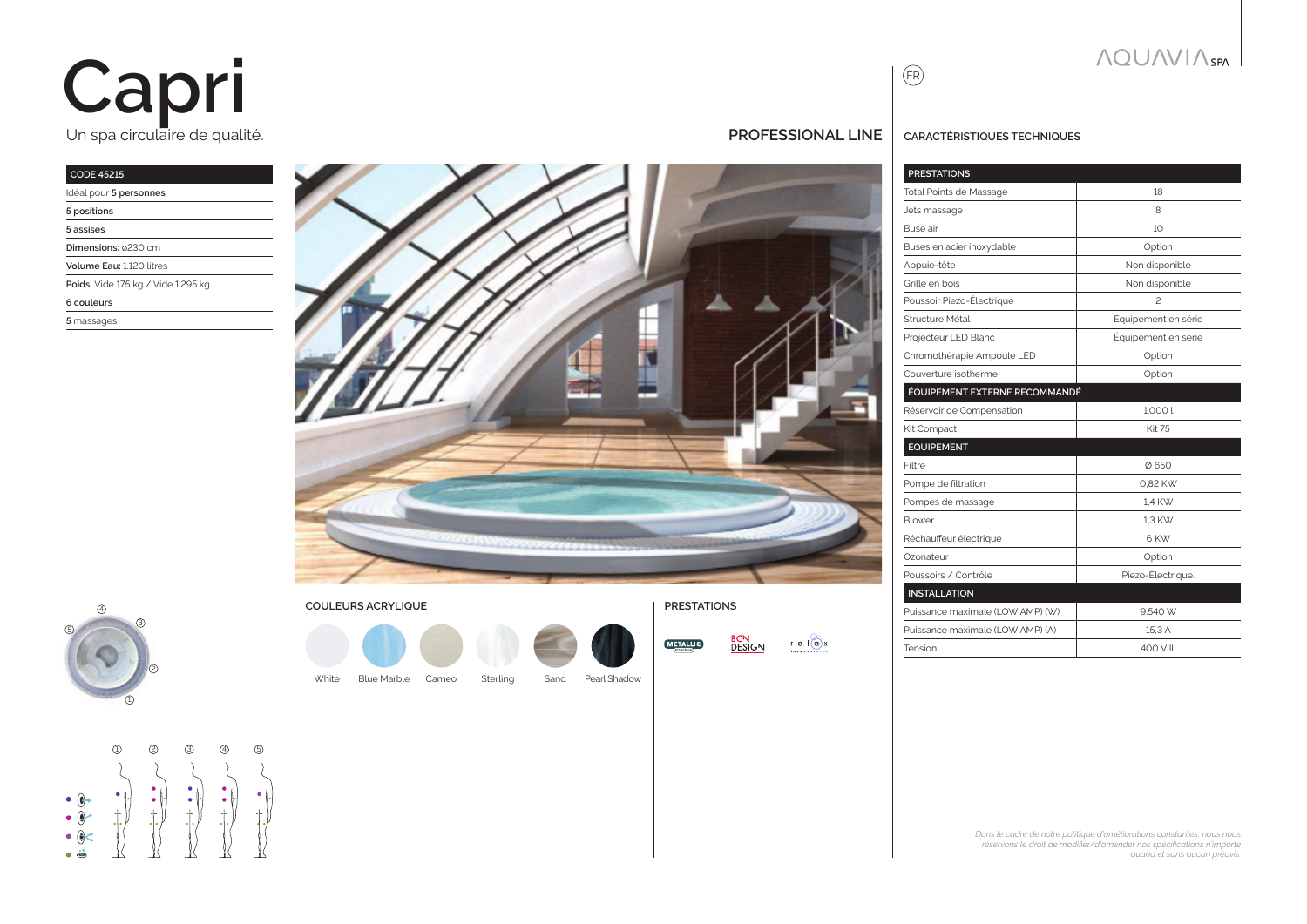# Un spa circulaire de qualité. **Capri**

### **CODE 45215**

| Idéal pour 5 personnes             |
|------------------------------------|
| 5 positions                        |
| 5 assises                          |
| Dimensions: 0230 cm                |
| Volume Fau: 1120 litres            |
| Poids: Vide 175 kg / Vide 1.295 kg |
| 6 couleurs                         |
| 5 massages                         |
|                                    |









| N<br>RС<br>DESIGN. | e I(a) x<br><b>IMPACTSYSTEM</b> |
|--------------------|---------------------------------|
|--------------------|---------------------------------|



### **PROFESSIONAL LINE CARACTÉRISTIQUES TECHNIQUES**

| <b>PRESTATIONS</b>               |                     |
|----------------------------------|---------------------|
| <b>Total Points de Massage</b>   | 18                  |
| Jets massage                     | 8                   |
| Buse air                         | 10                  |
| Buses en acier inoxydable        | Option              |
| Appuie-tête                      | Non disponible      |
| Grille en bois                   | Non disponible      |
| Poussoir Piezo-Électrique        | $\mathcal{P}$       |
| Structure Métal                  | Équipement en série |
| Projecteur LED Blanc             | Équipement en série |
| Chromothérapie Ampoule LED       | Option              |
| Couverture isotherme             | Option              |
| ÉQUIPEMENT EXTERNE RECOMMANDÉ    |                     |
| Réservoir de Compensation        | 1.0001              |
| Kit Compact                      | <b>Kit 75</b>       |
| <b>ÉQUIPEMENT</b>                |                     |
| Filtre                           | Ø650                |
| Pompe de filtration              | 0.82 KW             |
| Pompes de massage                | 1.4 KW              |
| Blower                           | 1.3 KW              |
| Réchauffeur électrique           | 6 KW                |
| Ozonateur                        | Option              |
| Poussoirs / Contrôle             | Piezo-Électrique.   |
| <b>INSTALLATION</b>              |                     |
| Puissance maximale (LOW AMP) (W) | 9.540 W             |
| Puissance maximale (LOW AMP) (A) | 15.3 A              |
| Tension                          | 400 V III           |
|                                  |                     |

#### *Dans le cadre de notre politique d'améliorations constantes, nous nous réservons le droit de modifier/d'amender nos spécifications n'importe quand et sans aucun préavis.*

**NQUAVIA** SPN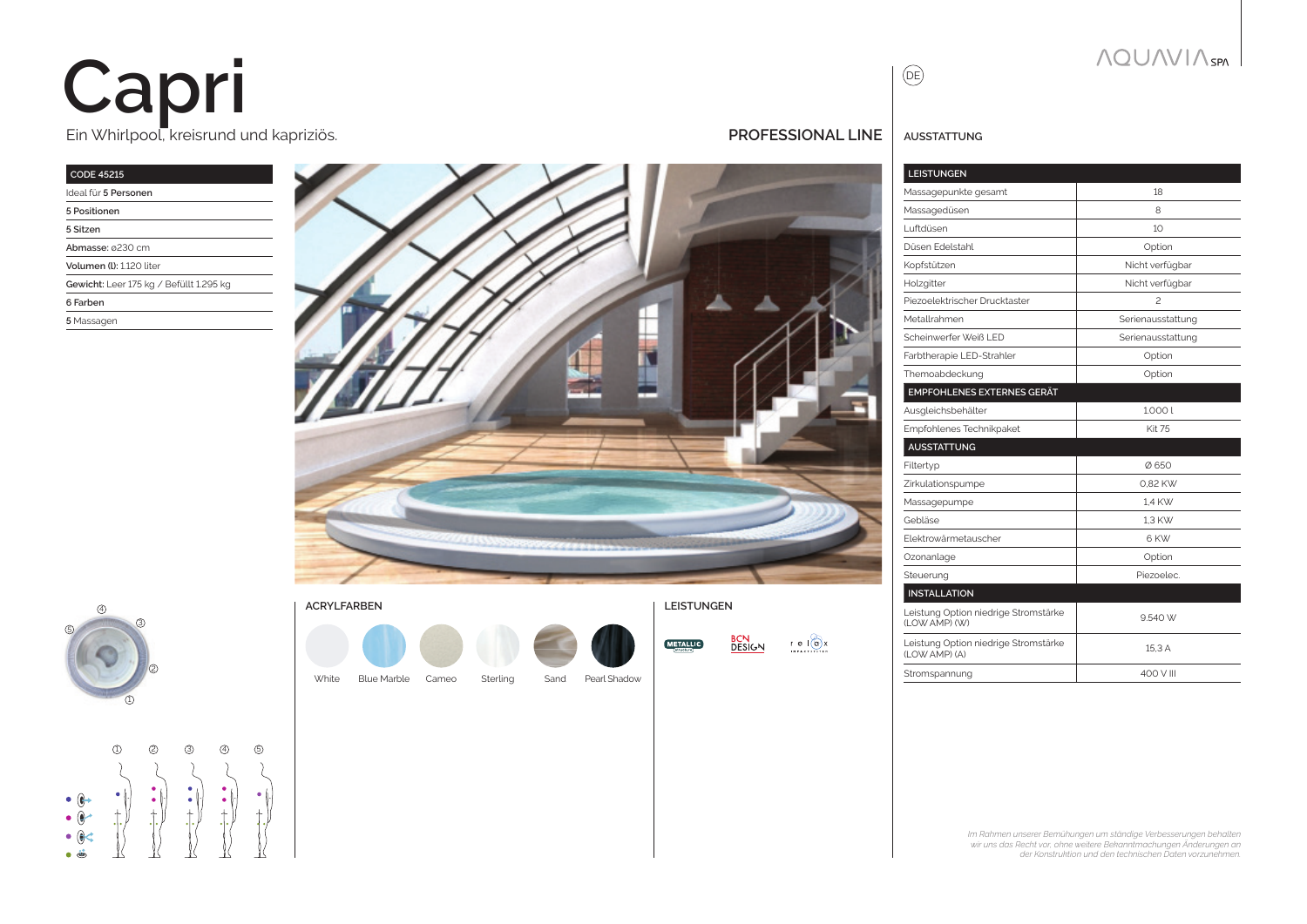# Ein Whirlpool, kreisrund und kapriziös. **Capri**

#### **CODE 45215** Ideal für **5 Personen**

| 1999 - 1999 - 1999 - 1999 - 1999 - 1999 - 1999 - 1999 - 1999 - 1999 - 1999 - 1999 - 1999 - 1999 - 19 |
|------------------------------------------------------------------------------------------------------|
| 5 Positionen                                                                                         |
| 5 Sitzen                                                                                             |
| Abmasse: 0230 cm                                                                                     |
| Volumen (I): 1.120 liter                                                                             |
| Gewicht: Leer 175 kg / Befüllt 1.295 kg                                                              |
| 6 Farben                                                                                             |
| 5 Massagen                                                                                           |
|                                                                                                      |





White Blue Marble Cameo Sterling Sand Pearl Shadow Blue Marble **ACRYLFARBEN LEISTUNGEN**

**METALLIC** 

| N<br>R<br>DESIGN | e l(g)x<br><b>IMPACTSYSTEM</b> |
|------------------|--------------------------------|
|                  |                                |

| <b>BCN</b>    |                     |
|---------------|---------------------|
| <b>DESIGN</b> | $e$ $(a)x$          |
|               | <b>IMPACTSYSTEM</b> |

| <b>PROFESSIONAL LINE</b>   AUSSTATTUNG |
|----------------------------------------|
|----------------------------------------|

 $\begin{picture}(40,4) \put(0,0){\line(0,1){10}} \put(0,0){\line(0,1){10}} \put(10,0){\line(0,1){10}} \put(10,0){\line(0,1){10}} \put(10,0){\line(0,1){10}} \put(10,0){\line(0,1){10}} \put(10,0){\line(0,1){10}} \put(10,0){\line(0,1){10}} \put(10,0){\line(0,1){10}} \put(10,0){\line(0,1){10}} \put(10,0){\line(0,1){10}} \put(10,0){\line(0,1$ 

| <b>LEISTUNGEN</b>                                      |                   |
|--------------------------------------------------------|-------------------|
| Massagepunkte gesamt                                   | 18                |
| Massagedüsen                                           | 8                 |
| l uftdüsen                                             | 10                |
| Düsen Edelstahl                                        | Option            |
| Kopfstützen                                            | Nicht verfügbar   |
| Holzgitter                                             | Nicht verfügbar   |
| Piezoelektrischer Drucktaster                          | $\mathcal{P}$     |
| Metallrahmen                                           | Serienausstattung |
| Scheinwerfer Weiß I FD                                 | Serienausstattung |
| Farbtherapie LED-Strahler                              | Option            |
| Themoabdeckung                                         | Option            |
| <b>EMPFOHLENES EXTERNES GERÄT</b>                      |                   |
| Ausgleichsbehälter                                     | 1.0001            |
| Empfohlenes Technikpaket                               | <b>Kit 75</b>     |
| <b>AUSSTATTUNG</b>                                     |                   |
| Filtertyp                                              | Ø650              |
| Zirkulationspumpe                                      | 0.82 KW           |
| Massagepumpe                                           | 1.4 KW            |
| Gebläse                                                | 1.3 KW            |
| Elektrowärmetauscher                                   | 6 KW              |
| Ozonanlage                                             | Option            |
| Steuerung                                              | Piezoelec.        |
| <b>INSTALLATION</b>                                    |                   |
| Leistung Option niedrige Stromstärke<br>(I OW AMP) (W) | 9.540 W           |
| Leistung Option niedrige Stromstärke<br>(LOW AMP) (A)  | 15,3 A            |
| Stromspannung                                          | 400 V III         |